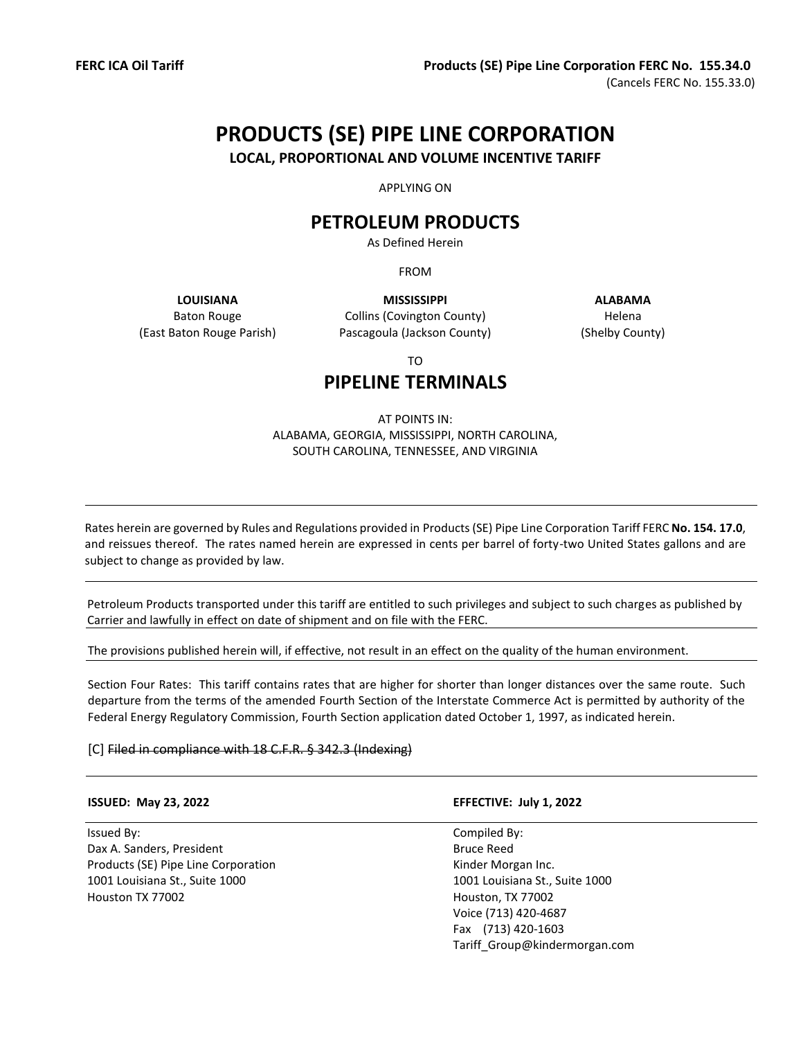# **PRODUCTS (SE) PIPE LINE CORPORATION**

**LOCAL, PROPORTIONAL AND VOLUME INCENTIVE TARIFF**

APPLYING ON

## **PETROLEUM PRODUCTS**

As Defined Herein

FROM

Baton Rouge (East Baton Rouge Parish)

**LOUISIANA MISSISSIPPI ALABAMA** Collins (Covington County) Pascagoula (Jackson County)

Helena (Shelby County)

TO

# **PIPELINE TERMINALS**

#### AT POINTS IN: ALABAMA, GEORGIA, MISSISSIPPI, NORTH CAROLINA, SOUTH CAROLINA, TENNESSEE, AND VIRGINIA

Rates herein are governed by Rules and Regulations provided in Products (SE) Pipe Line Corporation Tariff FERC **No. 154. 17.0**, and reissues thereof. The rates named herein are expressed in cents per barrel of forty-two United States gallons and are subject to change as provided by law.

Petroleum Products transported under this tariff are entitled to such privileges and subject to such charges as published by Carrier and lawfully in effect on date of shipment and on file with the FERC.

The provisions published herein will, if effective, not result in an effect on the quality of the human environment.

Section Four Rates: This tariff contains rates that are higher for shorter than longer distances over the same route. Such departure from the terms of the amended Fourth Section of the Interstate Commerce Act is permitted by authority of the Federal Energy Regulatory Commission, Fourth Section application dated October 1, 1997, as indicated herein.

[C] Filed in compliance with 18 C.F.R. § 342.3 (Indexing)

Issued By: Compiled By: Dax A. Sanders, President Bruce Reed Products (SE) Pipe Line Corporation **Exercise 2018** Kinder Morgan Inc. 1001 Louisiana St., Suite 1000 1001 Louisiana St., Suite 1000 Houston TX 77002 Houston, TX 77002

#### **ISSUED: May 23, 2022 EFFECTIVE: July 1, 2022**

Voice (713) 420-4687 Fax (713) 420-1603 Tariff\_Group@kindermorgan.com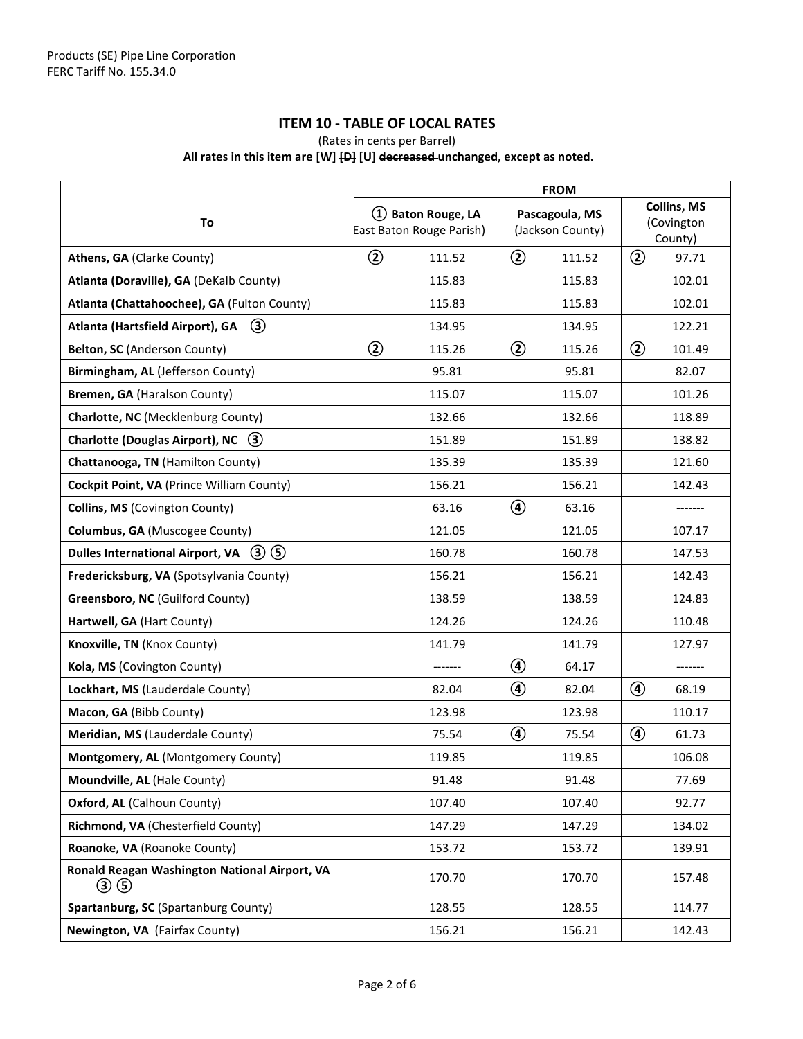### **ITEM 10 - TABLE OF LOCAL RATES**

(Rates in cents per Barrel)

#### **All rates in this item are [W] [D] [U] decreased unchanged, except as noted.**

|                                                                | <b>FROM</b>                                    |                                    |                                             |
|----------------------------------------------------------------|------------------------------------------------|------------------------------------|---------------------------------------------|
| To                                                             | 1) Baton Rouge, LA<br>East Baton Rouge Parish) | Pascagoula, MS<br>(Jackson County) | <b>Collins, MS</b><br>(Covington<br>County) |
| Athens, GA (Clarke County)                                     | $^{\circledR}$<br>111.52                       | $\circled{2}$<br>111.52            | $^{\circledR}$<br>97.71                     |
| Atlanta (Doraville), GA (DeKalb County)                        | 115.83                                         | 115.83                             | 102.01                                      |
| Atlanta (Chattahoochee), GA (Fulton County)                    | 115.83                                         | 115.83                             | 102.01                                      |
| $\circled{3}$<br>Atlanta (Hartsfield Airport), GA              | 134.95                                         | 134.95                             | 122.21                                      |
| Belton, SC (Anderson County)                                   | $\circled{2}$<br>115.26                        | $\circled{2}$<br>115.26            | ②<br>101.49                                 |
| Birmingham, AL (Jefferson County)                              | 95.81                                          | 95.81                              | 82.07                                       |
| Bremen, GA (Haralson County)                                   | 115.07                                         | 115.07                             | 101.26                                      |
| Charlotte, NC (Mecklenburg County)                             | 132.66                                         | 132.66                             | 118.89                                      |
| <b>Charlotte (Douglas Airport), NC</b><br>(3)                  | 151.89                                         | 151.89                             | 138.82                                      |
| Chattanooga, TN (Hamilton County)                              | 135.39                                         | 135.39                             | 121.60                                      |
| Cockpit Point, VA (Prince William County)                      | 156.21                                         | 156.21                             | 142.43                                      |
| Collins, MS (Covington County)                                 | 63.16                                          | $\circledcirc$<br>63.16            |                                             |
| Columbus, GA (Muscogee County)                                 | 121.05                                         | 121.05                             | 107.17                                      |
| Dulles International Airport, VA $(3)(5)$                      | 160.78                                         | 160.78                             | 147.53                                      |
| Fredericksburg, VA (Spotsylvania County)                       | 156.21                                         | 156.21                             | 142.43                                      |
| Greensboro, NC (Guilford County)                               | 138.59                                         | 138.59                             | 124.83                                      |
| Hartwell, GA (Hart County)                                     | 124.26                                         | 124.26                             | 110.48                                      |
| Knoxville, TN (Knox County)                                    | 141.79                                         | 141.79                             | 127.97                                      |
| Kola, MS (Covington County)                                    |                                                | $\circledast$<br>64.17             | -------                                     |
| Lockhart, MS (Lauderdale County)                               | 82.04                                          | ④<br>82.04                         | ④<br>68.19                                  |
| Macon, GA (Bibb County)                                        | 123.98                                         | 123.98                             | 110.17                                      |
| Meridian, MS (Lauderdale County)                               | 75.54                                          | ④<br>75.54                         | ④<br>61.73                                  |
| Montgomery, AL (Montgomery County)                             | 119.85                                         | 119.85                             | 106.08                                      |
| Moundville, AL (Hale County)                                   | 91.48                                          | 91.48                              | 77.69                                       |
| Oxford, AL (Calhoun County)                                    | 107.40                                         | 107.40                             | 92.77                                       |
| Richmond, VA (Chesterfield County)                             | 147.29                                         | 147.29                             | 134.02                                      |
| Roanoke, VA (Roanoke County)                                   | 153.72                                         | 153.72                             | 139.91                                      |
| Ronald Reagan Washington National Airport, VA<br>$\circled{3}$ | 170.70                                         | 170.70                             | 157.48                                      |
| Spartanburg, SC (Spartanburg County)                           | 128.55                                         | 128.55                             | 114.77                                      |
| Newington, VA (Fairfax County)                                 | 156.21                                         | 156.21                             | 142.43                                      |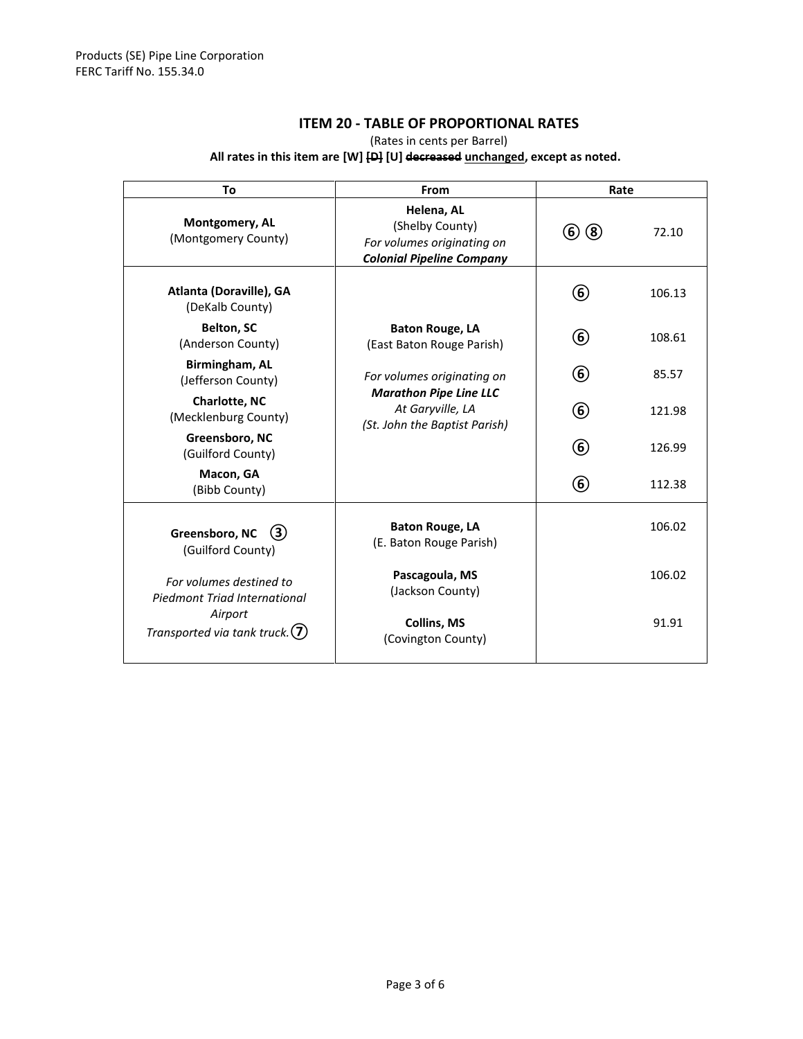### **ITEM 20 - TABLE OF PROPORTIONAL RATES**

(Rates in cents per Barrel)

#### **All rates in this item are [W] [D] [U] decreased unchanged, except as noted.**

| To                                                                                                      | From                                                                                                             | Rate          |        |
|---------------------------------------------------------------------------------------------------------|------------------------------------------------------------------------------------------------------------------|---------------|--------|
| Montgomery, AL<br>(Montgomery County)                                                                   | Helena, AL<br>(Shelby County)<br>For volumes originating on<br><b>Colonial Pipeline Company</b>                  | (6)(8)        | 72.10  |
| Atlanta (Doraville), GA<br>(DeKalb County)                                                              |                                                                                                                  | 6             | 106.13 |
| <b>Belton, SC</b><br>(Anderson County)                                                                  | <b>Baton Rouge, LA</b><br>(East Baton Rouge Parish)                                                              | $^\copyright$ | 108.61 |
| Birmingham, AL<br>(Jefferson County)                                                                    | For volumes originating on<br><b>Marathon Pipe Line LLC</b><br>At Garyville, LA<br>(St. John the Baptist Parish) | 6)            | 85.57  |
| <b>Charlotte, NC</b><br>(Mecklenburg County)                                                            |                                                                                                                  | 6             | 121.98 |
| Greensboro, NC<br>(Guilford County)                                                                     |                                                                                                                  | 6             | 126.99 |
| Macon, GA<br>(Bibb County)                                                                              |                                                                                                                  | 6             | 112.38 |
| Greensboro, NC<br>(3)<br>(Guilford County)                                                              | <b>Baton Rouge, LA</b><br>(E. Baton Rouge Parish)                                                                |               | 106.02 |
| For volumes destined to<br>Piedmont Triad International<br>Airport<br>Transported via tank truck. $(7)$ | Pascagoula, MS<br>(Jackson County)                                                                               |               | 106.02 |
|                                                                                                         | <b>Collins, MS</b><br>(Covington County)                                                                         |               | 91.91  |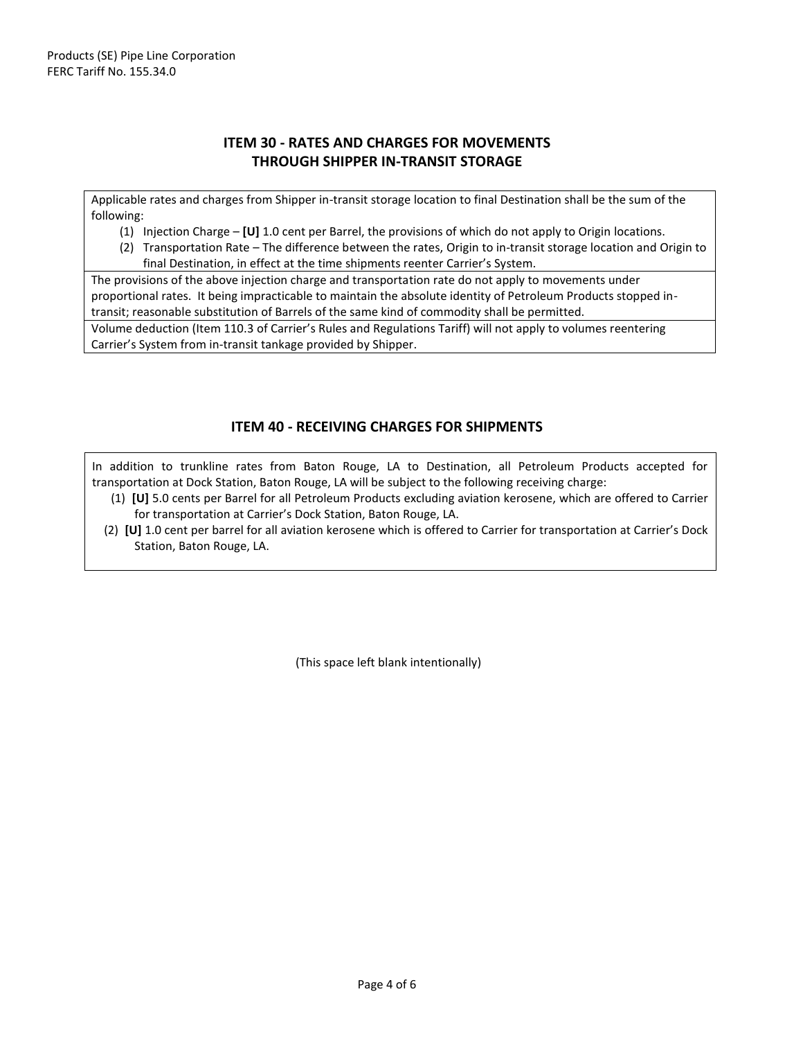### **ITEM 30 - RATES AND CHARGES FOR MOVEMENTS THROUGH SHIPPER IN-TRANSIT STORAGE**

Applicable rates and charges from Shipper in-transit storage location to final Destination shall be the sum of the following:

- (1) Injection Charge **[U]** 1.0 cent per Barrel, the provisions of which do not apply to Origin locations.
- (2) Transportation Rate The difference between the rates, Origin to in-transit storage location and Origin to final Destination, in effect at the time shipments reenter Carrier's System.

The provisions of the above injection charge and transportation rate do not apply to movements under proportional rates. It being impracticable to maintain the absolute identity of Petroleum Products stopped intransit; reasonable substitution of Barrels of the same kind of commodity shall be permitted.

Volume deduction (Item 110.3 of Carrier's Rules and Regulations Tariff) will not apply to volumes reentering Carrier's System from in-transit tankage provided by Shipper.

#### **ITEM 40 - RECEIVING CHARGES FOR SHIPMENTS**

In addition to trunkline rates from Baton Rouge, LA to Destination, all Petroleum Products accepted for transportation at Dock Station, Baton Rouge, LA will be subject to the following receiving charge:

- (1) **[U]** 5.0 cents per Barrel for all Petroleum Products excluding aviation kerosene, which are offered to Carrier for transportation at Carrier's Dock Station, Baton Rouge, LA.
- (2) **[U]** 1.0 cent per barrel for all aviation kerosene which is offered to Carrier for transportation at Carrier's Dock Station, Baton Rouge, LA.

(This space left blank intentionally)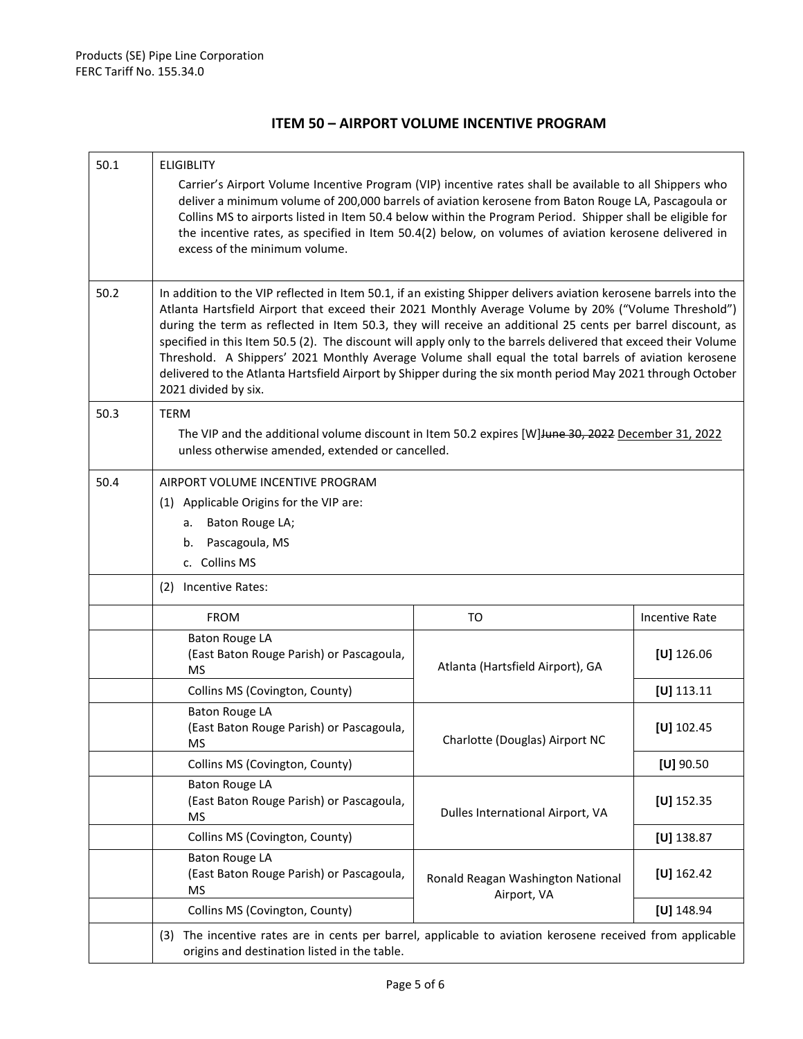### **ITEM 50 – AIRPORT VOLUME INCENTIVE PROGRAM**

| 50.1 | <b>ELIGIBLITY</b>                                                                                                                                                                                                                                                                                                                                                                                                                                                                                                                                                                                                                                                                                           |                                                  |                       |
|------|-------------------------------------------------------------------------------------------------------------------------------------------------------------------------------------------------------------------------------------------------------------------------------------------------------------------------------------------------------------------------------------------------------------------------------------------------------------------------------------------------------------------------------------------------------------------------------------------------------------------------------------------------------------------------------------------------------------|--------------------------------------------------|-----------------------|
|      | Carrier's Airport Volume Incentive Program (VIP) incentive rates shall be available to all Shippers who<br>deliver a minimum volume of 200,000 barrels of aviation kerosene from Baton Rouge LA, Pascagoula or<br>Collins MS to airports listed in Item 50.4 below within the Program Period. Shipper shall be eligible for<br>the incentive rates, as specified in Item 50.4(2) below, on volumes of aviation kerosene delivered in<br>excess of the minimum volume.                                                                                                                                                                                                                                       |                                                  |                       |
| 50.2 | In addition to the VIP reflected in Item 50.1, if an existing Shipper delivers aviation kerosene barrels into the<br>Atlanta Hartsfield Airport that exceed their 2021 Monthly Average Volume by 20% ("Volume Threshold")<br>during the term as reflected in Item 50.3, they will receive an additional 25 cents per barrel discount, as<br>specified in this Item 50.5 (2). The discount will apply only to the barrels delivered that exceed their Volume<br>Threshold. A Shippers' 2021 Monthly Average Volume shall equal the total barrels of aviation kerosene<br>delivered to the Atlanta Hartsfield Airport by Shipper during the six month period May 2021 through October<br>2021 divided by six. |                                                  |                       |
| 50.3 | <b>TERM</b><br>The VIP and the additional volume discount in Item 50.2 expires [W] Hune 30, 2022 December 31, 2022<br>unless otherwise amended, extended or cancelled.                                                                                                                                                                                                                                                                                                                                                                                                                                                                                                                                      |                                                  |                       |
| 50.4 | AIRPORT VOLUME INCENTIVE PROGRAM<br>(1) Applicable Origins for the VIP are:<br>a. Baton Rouge LA;<br>b. Pascagoula, MS<br>c. Collins MS                                                                                                                                                                                                                                                                                                                                                                                                                                                                                                                                                                     |                                                  |                       |
|      | (2) Incentive Rates:                                                                                                                                                                                                                                                                                                                                                                                                                                                                                                                                                                                                                                                                                        |                                                  |                       |
|      | <b>FROM</b>                                                                                                                                                                                                                                                                                                                                                                                                                                                                                                                                                                                                                                                                                                 | TO                                               | <b>Incentive Rate</b> |
|      | <b>Baton Rouge LA</b><br>(East Baton Rouge Parish) or Pascagoula,<br><b>MS</b>                                                                                                                                                                                                                                                                                                                                                                                                                                                                                                                                                                                                                              | Atlanta (Hartsfield Airport), GA                 | [ $U$ ] 126.06        |
|      | Collins MS (Covington, County)                                                                                                                                                                                                                                                                                                                                                                                                                                                                                                                                                                                                                                                                              |                                                  | $[U]$ 113.11          |
|      | <b>Baton Rouge LA</b><br>(East Baton Rouge Parish) or Pascagoula,<br><b>MS</b>                                                                                                                                                                                                                                                                                                                                                                                                                                                                                                                                                                                                                              | Charlotte (Douglas) Airport NC                   | [ $U$ ] 102.45        |
|      | Collins MS (Covington, County)                                                                                                                                                                                                                                                                                                                                                                                                                                                                                                                                                                                                                                                                              |                                                  | $[U]$ 90.50           |
|      | <b>Baton Rouge LA</b><br>(East Baton Rouge Parish) or Pascagoula,<br><b>MS</b>                                                                                                                                                                                                                                                                                                                                                                                                                                                                                                                                                                                                                              | Dulles International Airport, VA                 | $[U]$ 152.35          |
|      | Collins MS (Covington, County)                                                                                                                                                                                                                                                                                                                                                                                                                                                                                                                                                                                                                                                                              |                                                  | [ $U$ ] 138.87        |
|      | <b>Baton Rouge LA</b><br>(East Baton Rouge Parish) or Pascagoula,<br><b>MS</b>                                                                                                                                                                                                                                                                                                                                                                                                                                                                                                                                                                                                                              | Ronald Reagan Washington National<br>Airport, VA | $[U]$ 162.42          |
|      | Collins MS (Covington, County)                                                                                                                                                                                                                                                                                                                                                                                                                                                                                                                                                                                                                                                                              |                                                  | $[U]$ 148.94          |
|      | (3) The incentive rates are in cents per barrel, applicable to aviation kerosene received from applicable<br>origins and destination listed in the table.                                                                                                                                                                                                                                                                                                                                                                                                                                                                                                                                                   |                                                  |                       |